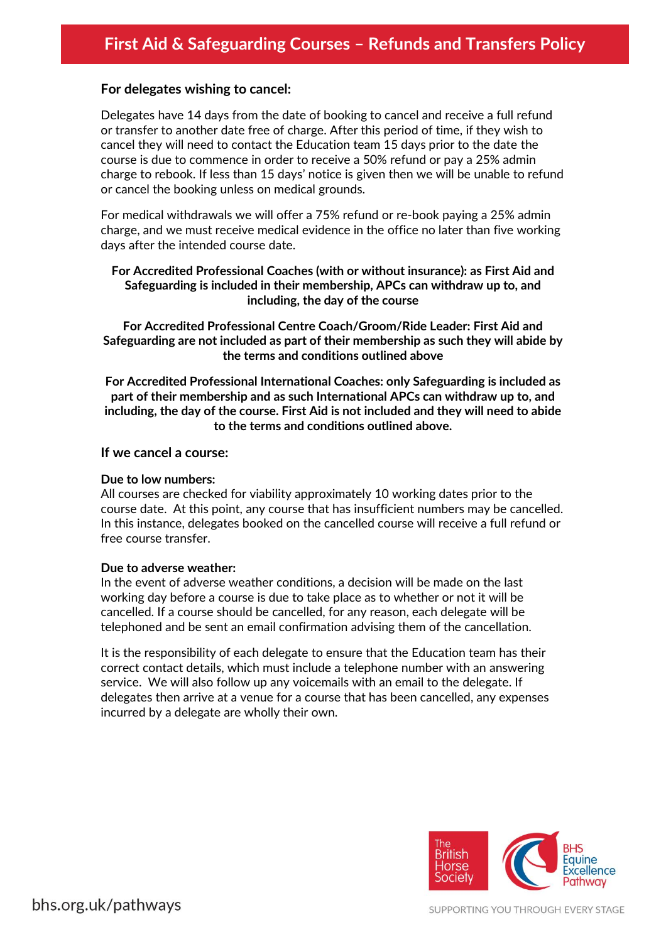# **For delegates wishing to cancel:**

Delegates have 14 days from the date of booking to cancel and receive a full refund or transfer to another date free of charge. After this period of time, if they wish to cancel they will need to contact the Education team 15 days prior to the date the course is due to commence in order to receive a 50% refund or pay a 25% admin charge to rebook. If less than 15 days' notice is given then we will be unable to refund or cancel the booking unless on medical grounds.

For medical withdrawals we will offer a 75% refund or re-book paying a 25% admin charge, and we must receive medical evidence in the office no later than five working days after the intended course date.

## **For Accredited Professional Coaches (with or without insurance): as First Aid and Safeguarding is included in their membership, APCs can withdraw up to, and including, the day of the course**

**For Accredited Professional Centre Coach/Groom/Ride Leader: First Aid and Safeguarding are not included as part of their membership as such they will abide by the terms and conditions outlined above**

**For Accredited Professional International Coaches: only Safeguarding is included as part of their membership and as such International APCs can withdraw up to, and including, the day of the course. First Aid is not included and they will need to abide to the terms and conditions outlined above.**

#### **If we cancel a course:**

#### **Due to low numbers:**

All courses are checked for viability approximately 10 working dates prior to the course date. At this point, any course that has insufficient numbers may be cancelled. In this instance, delegates booked on the cancelled course will receive a full refund or free course transfer.

#### **Due to adverse weather:**

In the event of adverse weather conditions, a decision will be made on the last working day before a course is due to take place as to whether or not it will be cancelled. If a course should be cancelled, for any reason, each delegate will be telephoned and be sent an email confirmation advising them of the cancellation.

It is the responsibility of each delegate to ensure that the Education team has their correct contact details, which must include a telephone number with an answering service. We will also follow up any voicemails with an email to the delegate. If delegates then arrive at a venue for a course that has been cancelled, any expenses incurred by a delegate are wholly their own.